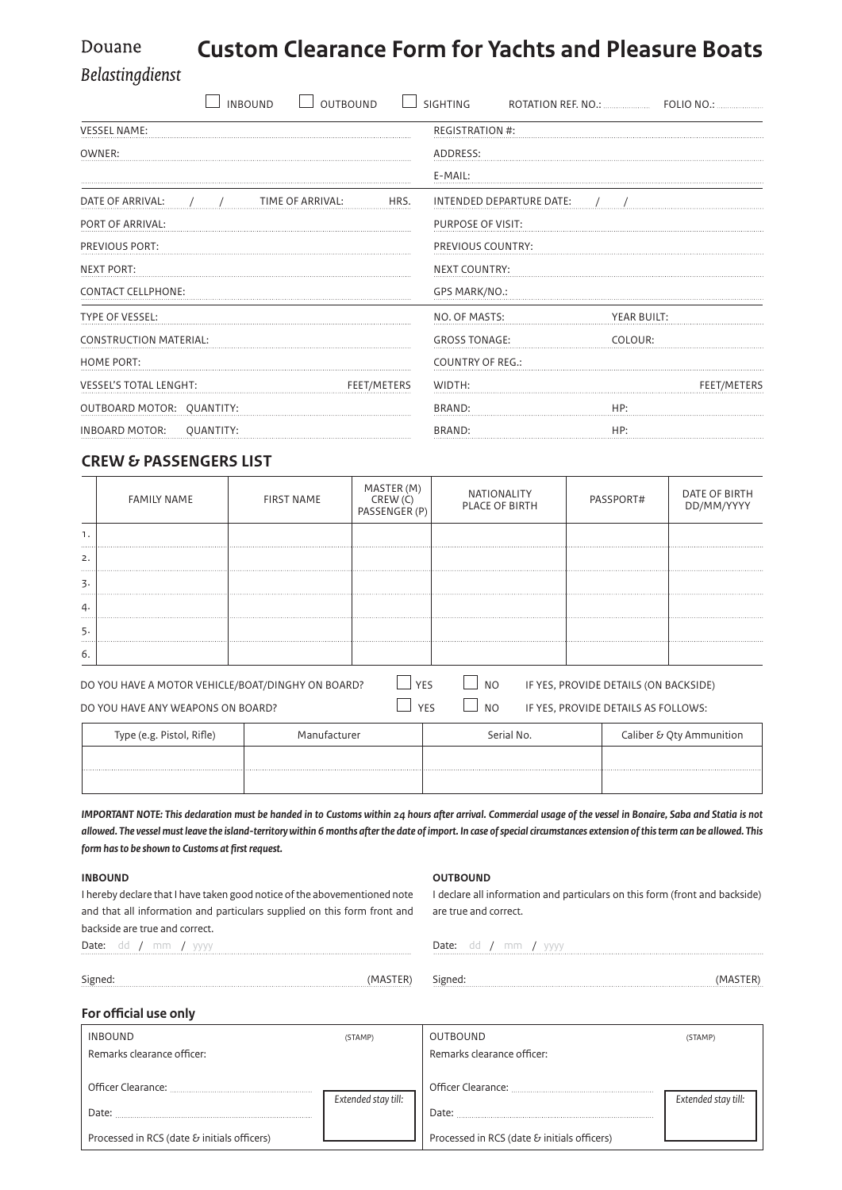#### **Custom Clearance Form for Yachts and Pleasure Boats** Douane

Belastingdienst

| <b>OUTBOUND</b><br><b>INBOUND</b>            | <b>SIGHTING</b>                 |  |  |
|----------------------------------------------|---------------------------------|--|--|
| <b>VESSEL NAME:</b>                          | <b>REGISTRATION #:</b>          |  |  |
| OWNER:                                       | ADDRESS:                        |  |  |
|                                              | E-MAIL:                         |  |  |
| DATE OF ARRIVAL:<br>TIME OF ARRIVAL:<br>HRS. | INTENDED DEPARTURE DATE:        |  |  |
| PORT OF ARRIVAL:                             | PURPOSE OF VISIT:               |  |  |
| PREVIOUS PORT:                               | PREVIOUS COUNTRY:               |  |  |
| <b>NEXT PORT:</b>                            | <b>NEXT COUNTRY:</b>            |  |  |
| <b>CONTACT CELLPHONE:</b>                    | GPS MARK/NO.:                   |  |  |
| <b>TYPE OF VESSEL:</b>                       | NO. OF MASTS:<br>YEAR BUILT:    |  |  |
| <b>CONSTRUCTION MATERIAL:</b>                | <b>GROSS TONAGE:</b><br>COLOUR: |  |  |
| <b>HOME PORT:</b>                            | <b>COUNTRY OF REG.:</b>         |  |  |
| <b>VESSEL'S TOTAL LENGHT:</b><br>FEET/METERS | WIDTH:<br><b>FEET/METERS</b>    |  |  |
| OUTBOARD MOTOR: QUANTITY:                    | BRAND:<br>HP:                   |  |  |
| <b>INBOARD MOTOR:</b><br>QUANTITY:           | HP:<br>BRAND:                   |  |  |
|                                              |                                 |  |  |

# **Crew & passengers List**

|                                                                                                                       | <b>FAMILY NAME</b> | <b>FIRST NAME</b> | MASTER (M)<br>CREW (C)<br>PASSENGER (P) | <b>NATIONALITY</b><br><b>PLACE OF BIRTH</b> |                                     | PASSPORT# | DATE OF BIRTH<br>DD/MM/YYYY |
|-----------------------------------------------------------------------------------------------------------------------|--------------------|-------------------|-----------------------------------------|---------------------------------------------|-------------------------------------|-----------|-----------------------------|
|                                                                                                                       |                    |                   |                                         |                                             |                                     |           |                             |
| 2.                                                                                                                    |                    | <br>              |                                         |                                             |                                     |           |                             |
| 3.                                                                                                                    |                    |                   |                                         |                                             |                                     |           |                             |
| 4.<br>                                                                                                                |                    | .                 |                                         |                                             |                                     |           |                             |
| כֿ.<br>1.1.1.1                                                                                                        |                    |                   |                                         |                                             |                                     |           |                             |
| -6.                                                                                                                   |                    |                   |                                         |                                             |                                     |           |                             |
| <b>NO</b><br><b>YFS</b><br>IF YES, PROVIDE DETAILS (ON BACKSIDE)<br>DO YOU HAVE A MOTOR VEHICLE/BOAT/DINGHY ON BOARD? |                    |                   |                                         |                                             |                                     |           |                             |
| DO YOU HAVE ANY WEAPONS ON BOARD?                                                                                     |                    |                   | YF۲                                     | <b>NO</b>                                   | IF YES, PROVIDE DETAILS AS FOLLOWS: |           |                             |

| Type (e.g. Pistol, Rifle) | Manufacturer | Serial No. | Caliber & Qty Ammunition |
|---------------------------|--------------|------------|--------------------------|
|                           |              |            |                          |
|                           |              |            |                          |

*Important note: This declaration must be handed in to Customs within 24 hours after arrival. Commercial usage of the vessel in Bonaire, Saba and Statia is not allowed. The vessel must leave the island-territory within 6 months after the date of import. In case of special circumstances extension of this term can be allowed. This form has to be shown to Customs at first request.* 

### **Inbound**

## **OUTBOUND**

I hereby declare that I have taken good notice of the abovementioned note and that all information and particulars supplied on this form front and backside are true and correct. Date: dd / mm / yyyy I declare all information and particulars on this form (front and backside) are true and correct. Date: dd / mm / yyyy

Signed: (MASTER)

Signed: (MASTER)

#### **For official use only**

| <b>INBOUND</b>                                                             | (STAMP)             | OUTBOUND                                                                   | (STAMP)             |
|----------------------------------------------------------------------------|---------------------|----------------------------------------------------------------------------|---------------------|
| Remarks clearance officer:                                                 |                     | Remarks clearance officer:                                                 |                     |
| Officer Clearance:<br>Date:<br>Processed in RCS (date & initials officers) | Extended stay till: | Officer Clearance:<br>Date:<br>Processed in RCS (date & initials officers) | Extended stay till: |